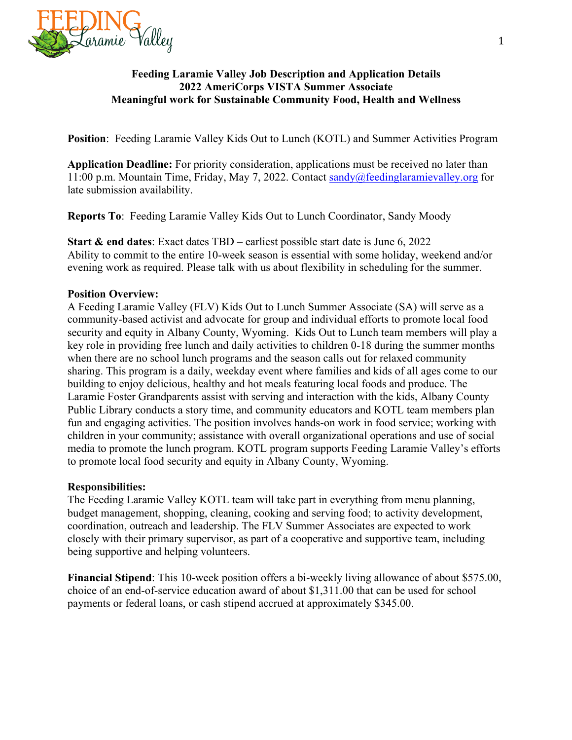

### **Feeding Laramie Valley Job Description and Application Details 2022 AmeriCorps VISTA Summer Associate Meaningful work for Sustainable Community Food, Health and Wellness**

**Position**: Feeding Laramie Valley Kids Out to Lunch (KOTL) and Summer Activities Program

**Application Deadline:** For priority consideration, applications must be received no later than 11:00 p.m. Mountain Time, Friday, May 7, 2022. Contact sandy@feedinglaramievalley.org for late submission availability.

**Reports To**: Feeding Laramie Valley Kids Out to Lunch Coordinator, Sandy Moody

**Start & end dates**: Exact dates TBD – earliest possible start date is June 6, 2022 Ability to commit to the entire 10-week season is essential with some holiday, weekend and/or evening work as required. Please talk with us about flexibility in scheduling for the summer.

## **Position Overview:**

A Feeding Laramie Valley (FLV) Kids Out to Lunch Summer Associate (SA) will serve as a community-based activist and advocate for group and individual efforts to promote local food security and equity in Albany County, Wyoming. Kids Out to Lunch team members will play a key role in providing free lunch and daily activities to children 0-18 during the summer months when there are no school lunch programs and the season calls out for relaxed community sharing. This program is a daily, weekday event where families and kids of all ages come to our building to enjoy delicious, healthy and hot meals featuring local foods and produce. The Laramie Foster Grandparents assist with serving and interaction with the kids, Albany County Public Library conducts a story time, and community educators and KOTL team members plan fun and engaging activities. The position involves hands-on work in food service; working with children in your community; assistance with overall organizational operations and use of social media to promote the lunch program. KOTL program supports Feeding Laramie Valley's efforts to promote local food security and equity in Albany County, Wyoming.

## **Responsibilities:**

The Feeding Laramie Valley KOTL team will take part in everything from menu planning, budget management, shopping, cleaning, cooking and serving food; to activity development, coordination, outreach and leadership. The FLV Summer Associates are expected to work closely with their primary supervisor, as part of a cooperative and supportive team, including being supportive and helping volunteers.

**Financial Stipend**: This 10-week position offers a bi-weekly living allowance of about \$575.00, choice of an end-of-service education award of about \$1,311.00 that can be used for school payments or federal loans, or cash stipend accrued at approximately \$345.00.